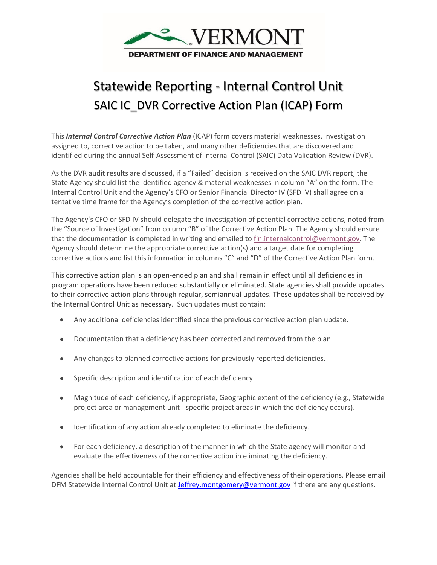

## Statewide Reporting - Internal Control Unit SAIC IC\_DVR Corrective Action Plan (ICAP) Form

This *Internal Control Corrective Action Plan* (ICAP) form covers material weaknesses, investigation assigned to, corrective action to be taken, and many other deficiencies that are discovered and identified during the annual Self-Assessment of Internal Control (SAIC) Data Validation Review (DVR).

As the DVR audit results are discussed, if a "Failed" decision is received on the SAIC DVR report, the State Agency should list the identified agency & material weaknesses in column "A" on the form. The Internal Control Unit and the Agency's CFO or Senior Financial Director IV (SFD IV) shall agree on a tentative time frame for the Agency's completion of the corrective action plan.

The Agency's CFO or SFD IV should delegate the investigation of potential corrective actions, noted from the "Source of Investigation" from column "B" of the Corrective Action Plan. The Agency should ensure that the documentation is completed in writing and emailed t[o fin.internalcontrol@vermont.gov.](mailto:fin.internalcontrol@vermont.gov) The Agency should determine the appropriate corrective action(s) and a target date for completing corrective actions and list this information in columns "C" and "D" of the Corrective Action Plan form.

This corrective action plan is an open-ended plan and shall remain in effect until all deficiencies in program operations have been reduced substantially or eliminated. State agencies shall provide updates to their corrective action plans through regular, semiannual updates. These updates shall be received by the Internal Control Unit as necessary. Such updates must contain:

- Any additional deficiencies identified since the previous corrective action plan update.
- Documentation that a deficiency has been corrected and removed from the plan.
- Any changes to planned corrective actions for previously reported deficiencies.
- Specific description and identification of each deficiency.
- Magnitude of each deficiency, if appropriate, Geographic extent of the deficiency (e.g., Statewide project area or management unit - specific project areas in which the deficiency occurs).
- Identification of any action already completed to eliminate the deficiency.
- For each deficiency, a description of the manner in which the [State](https://www.law.cornell.edu/cfr/text/7/275.17) agency will monitor and evaluate the effectiveness of the corrective action in eliminating the deficiency.

Agencies shall be held accountable for their efficiency and effectiveness of their operations. Please email DFM Statewide Internal Control Unit at [Jeffrey.montgomery@vermont.gov](mailto:Jeffrey.montgomery@vermont.gov) if there are any questions.